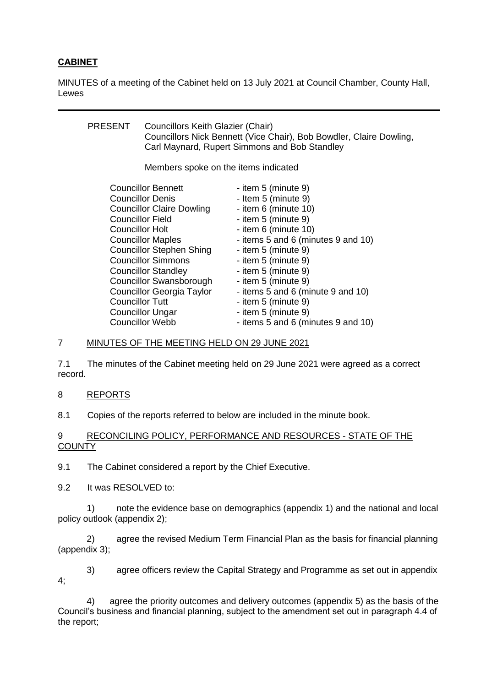# **CABINET**

MINUTES of a meeting of the Cabinet held on 13 July 2021 at Council Chamber, County Hall, Lewes

| PRESENT                          | Councillors Keith Glazier (Chair)    | Councillors Nick Bennett (Vice Chair), Bob Bowdler, Claire Dowling,<br>Carl Maynard, Rupert Simmons and Bob Standley |
|----------------------------------|--------------------------------------|----------------------------------------------------------------------------------------------------------------------|
|                                  | Members spoke on the items indicated |                                                                                                                      |
| <b>Councillor Bennett</b>        |                                      | - item 5 (minute 9)                                                                                                  |
| <b>Councillor Denis</b>          |                                      | - Item 5 (minute 9)                                                                                                  |
| <b>Councillor Claire Dowling</b> |                                      | - item 6 (minute 10)                                                                                                 |
| <b>Councillor Field</b>          |                                      | - item 5 (minute 9)                                                                                                  |
| <b>Councillor Holt</b>           |                                      | - item 6 (minute 10)                                                                                                 |
| <b>Councillor Maples</b>         |                                      | - items 5 and 6 (minutes 9 and 10)                                                                                   |
| <b>Councillor Stephen Shing</b>  |                                      | - item 5 (minute 9)                                                                                                  |
| <b>Councillor Simmons</b>        |                                      | - item 5 (minute 9)                                                                                                  |
| <b>Councillor Standley</b>       |                                      | - item 5 (minute 9)                                                                                                  |
| Councillor Swansborough          |                                      | - item 5 (minute 9)                                                                                                  |
| <b>Councillor Georgia Taylor</b> |                                      | - items 5 and 6 (minute 9 and 10)                                                                                    |
| <b>Councillor Tutt</b>           |                                      | - item 5 (minute 9)                                                                                                  |
| <b>Councillor Ungar</b>          |                                      | - item 5 (minute 9)                                                                                                  |
| <b>Councillor Webb</b>           |                                      | - items 5 and 6 (minutes 9 and 10)                                                                                   |

## 7 MINUTES OF THE MEETING HELD ON 29 JUNE 2021

7.1 The minutes of the Cabinet meeting held on 29 June 2021 were agreed as a correct record.

#### 8 REPORTS

8.1 Copies of the reports referred to below are included in the minute book.

## 9 RECONCILING POLICY, PERFORMANCE AND RESOURCES - STATE OF THE **COUNTY**

9.1 The Cabinet considered a report by the Chief Executive.

9.2 It was RESOLVED to:

1) note the evidence base on demographics (appendix 1) and the national and local policy outlook (appendix 2);

2) agree the revised Medium Term Financial Plan as the basis for financial planning (appendix 3);

3) agree officers review the Capital Strategy and Programme as set out in appendix 4;

4) agree the priority outcomes and delivery outcomes (appendix 5) as the basis of the Council's business and financial planning, subject to the amendment set out in paragraph 4.4 of the report;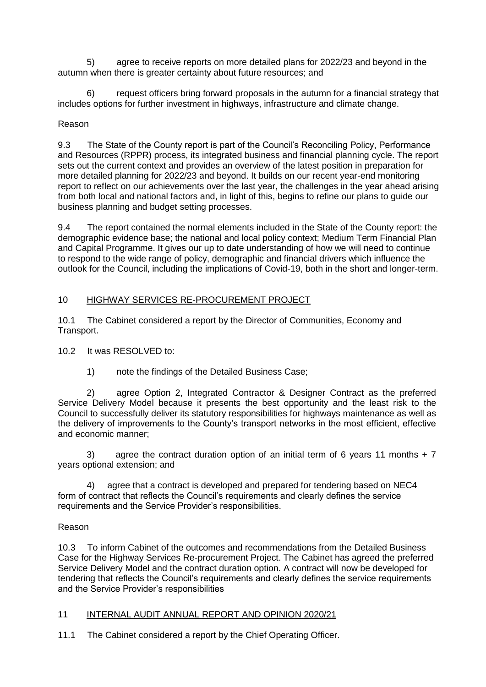5) agree to receive reports on more detailed plans for 2022/23 and beyond in the autumn when there is greater certainty about future resources; and

6) request officers bring forward proposals in the autumn for a financial strategy that includes options for further investment in highways, infrastructure and climate change.

## Reason

9.3 The State of the County report is part of the Council's Reconciling Policy, Performance and Resources (RPPR) process, its integrated business and financial planning cycle. The report sets out the current context and provides an overview of the latest position in preparation for more detailed planning for 2022/23 and beyond. It builds on our recent year-end monitoring report to reflect on our achievements over the last year, the challenges in the year ahead arising from both local and national factors and, in light of this, begins to refine our plans to guide our business planning and budget setting processes.

9.4 The report contained the normal elements included in the State of the County report: the demographic evidence base; the national and local policy context; Medium Term Financial Plan and Capital Programme. It gives our up to date understanding of how we will need to continue to respond to the wide range of policy, demographic and financial drivers which influence the outlook for the Council, including the implications of Covid-19, both in the short and longer-term.

## 10 HIGHWAY SERVICES RE-PROCUREMENT PROJECT

10.1 The Cabinet considered a report by the Director of Communities, Economy and Transport.

#### 10.2 It was RESOLVED to:

1) note the findings of the Detailed Business Case;

2) agree Option 2, Integrated Contractor & Designer Contract as the preferred Service Delivery Model because it presents the best opportunity and the least risk to the Council to successfully deliver its statutory responsibilities for highways maintenance as well as the delivery of improvements to the County's transport networks in the most efficient, effective and economic manner;

3) agree the contract duration option of an initial term of 6 years 11 months  $+7$ years optional extension; and

4) agree that a contract is developed and prepared for tendering based on NEC4 form of contract that reflects the Council's requirements and clearly defines the service requirements and the Service Provider's responsibilities.

#### Reason

10.3 To inform Cabinet of the outcomes and recommendations from the Detailed Business Case for the Highway Services Re-procurement Project. The Cabinet has agreed the preferred Service Delivery Model and the contract duration option. A contract will now be developed for tendering that reflects the Council's requirements and clearly defines the service requirements and the Service Provider's responsibilities

#### 11 INTERNAL AUDIT ANNUAL REPORT AND OPINION 2020/21

11.1 The Cabinet considered a report by the Chief Operating Officer.